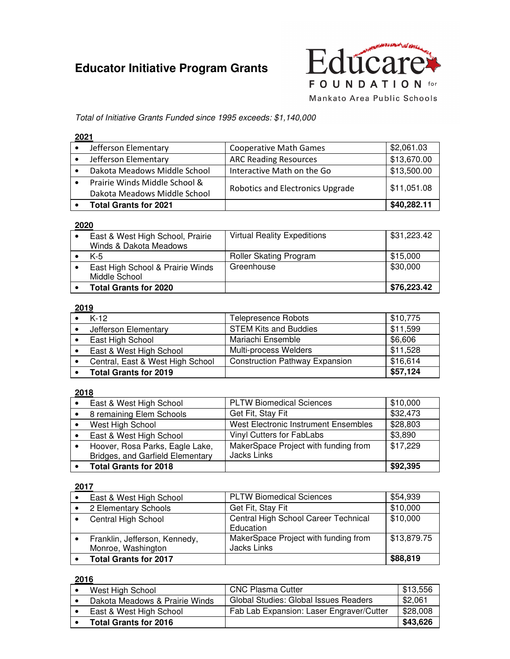# **Educator Initiative Program Grants**



Total of Initiative Grants Funded since 1995 exceeds: \$1,140,000

#### **2021**

| Jefferson Elementary          | <b>Cooperative Math Games</b>           | \$2,061.03  |
|-------------------------------|-----------------------------------------|-------------|
| Jefferson Elementary          | <b>ARC Reading Resources</b>            | \$13,670.00 |
| Dakota Meadows Middle School  | Interactive Math on the Go              | \$13,500.00 |
| Prairie Winds Middle School & |                                         |             |
| Dakota Meadows Middle School  | <b>Robotics and Electronics Upgrade</b> | \$11,051.08 |
| <b>Total Grants for 2021</b>  |                                         | \$40,282.11 |

#### **2020**

| East & West High School, Prairie<br>Winds & Dakota Meadows | <b>Virtual Reality Expeditions</b> | \$31,223.42 |
|------------------------------------------------------------|------------------------------------|-------------|
| $K-5$                                                      | Roller Skating Program             | \$15,000    |
| East High School & Prairie Winds<br>Middle School          | Greenhouse                         | \$30,000    |
| <b>Total Grants for 2020</b>                               |                                    | \$76,223.42 |

#### **2019**

| $K-12$                           | Telepresence Robots                   | \$10,775 |
|----------------------------------|---------------------------------------|----------|
| Jefferson Elementary             | <b>STEM Kits and Buddies</b>          | \$11,599 |
| East High School                 | Mariachi Ensemble                     | \$6,606  |
| East & West High School          | Multi-process Welders                 | \$11,528 |
| Central, East & West High School | <b>Construction Pathway Expansion</b> | \$16,614 |
| <b>Total Grants for 2019</b>     |                                       | \$57,124 |

#### **2018**

| East & West High School                                             | <b>PLTW Biomedical Sciences</b>                            | \$10,000 |
|---------------------------------------------------------------------|------------------------------------------------------------|----------|
| 8 remaining Elem Schools                                            | Get Fit, Stay Fit                                          | \$32,473 |
| West High School                                                    | West Electronic Instrument Ensembles                       | \$28,803 |
| East & West High School                                             | Vinyl Cutters for FabLabs                                  | \$3,890  |
| Hoover, Rosa Parks, Eagle Lake,<br>Bridges, and Garfield Elementary | MakerSpace Project with funding from<br><b>Jacks Links</b> | \$17,229 |
| <b>Total Grants for 2018</b>                                        |                                                            | \$92,395 |

#### **2017**

| East & West High School       | <b>PLTW Biomedical Sciences</b>      | \$54,939    |
|-------------------------------|--------------------------------------|-------------|
| 2 Elementary Schools          | Get Fit, Stay Fit                    | \$10,000    |
| <b>Central High School</b>    | Central High School Career Technical | \$10,000    |
|                               | Education                            |             |
| Franklin, Jefferson, Kennedy, | MakerSpace Project with funding from | \$13,879.75 |
| Monroe, Washington            | <b>Jacks Links</b>                   |             |
| <b>Total Grants for 2017</b>  |                                      | \$88,819    |

| West High School               | <b>CNC Plasma Cutter</b>                 | \$13,556 |
|--------------------------------|------------------------------------------|----------|
| Dakota Meadows & Prairie Winds | Global Studies: Global Issues Readers    | \$2,061  |
| East & West High School        | Fab Lab Expansion: Laser Engraver/Cutter | \$28,008 |
| <b>Total Grants for 2016</b>   |                                          | \$43,626 |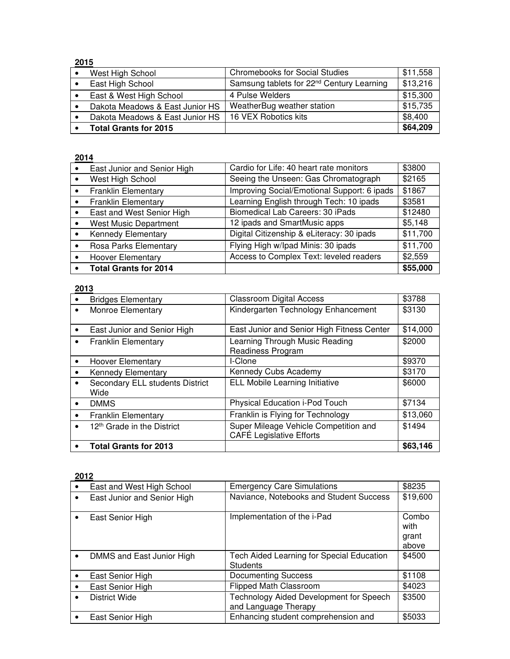| West High School                | <b>Chromebooks for Social Studies</b>                 | \$11,558 |
|---------------------------------|-------------------------------------------------------|----------|
| East High School                | Samsung tablets for 22 <sup>nd</sup> Century Learning | \$13,216 |
| East & West High School         | 4 Pulse Welders                                       | \$15,300 |
| Dakota Meadows & East Junior HS | WeatherBug weather station                            | \$15,735 |
| Dakota Meadows & East Junior HS | 16 VEX Robotics kits                                  | \$8,400  |
| <b>Total Grants for 2015</b>    |                                                       | \$64,209 |

# **2014**

| East Junior and Senior High  | Cardio for Life: 40 heart rate monitors     | \$3800   |
|------------------------------|---------------------------------------------|----------|
| West High School             | Seeing the Unseen: Gas Chromatograph        | \$2165   |
| <b>Franklin Elementary</b>   | Improving Social/Emotional Support: 6 ipads | \$1867   |
| <b>Franklin Elementary</b>   | Learning English through Tech: 10 ipads     | \$3581   |
| East and West Senior High    | Biomedical Lab Careers: 30 iPads            | \$12480  |
| <b>West Music Department</b> | 12 ipads and SmartMusic apps                | \$5,148  |
| <b>Kennedy Elementary</b>    | Digital Citizenship & eLiteracy: 30 ipads   | \$11,700 |
| Rosa Parks Elementary        | Flying High w/lpad Minis: 30 ipads          | \$11,700 |
| <b>Hoover Elementary</b>     | Access to Complex Text: leveled readers     | \$2,559  |
| <b>Total Grants for 2014</b> |                                             | \$55,000 |

# **2013**

|           | <b>Bridges Elementary</b>               | <b>Classroom Digital Access</b>                                          | \$3788   |
|-----------|-----------------------------------------|--------------------------------------------------------------------------|----------|
| $\bullet$ | Monroe Elementary                       | Kindergarten Technology Enhancement                                      | \$3130   |
| $\bullet$ | East Junior and Senior High             | East Junior and Senior High Fitness Center                               | \$14,000 |
| ٠         | <b>Franklin Elementary</b>              | Learning Through Music Reading<br>Readiness Program                      | \$2000   |
| $\bullet$ | <b>Hoover Elementary</b>                | I-Clone                                                                  | \$9370   |
| $\bullet$ | <b>Kennedy Elementary</b>               | Kennedy Cubs Academy                                                     | \$3170   |
| $\bullet$ | Secondary ELL students District<br>Wide | <b>ELL Mobile Learning Initiative</b>                                    | \$6000   |
| $\bullet$ | <b>DMMS</b>                             | Physical Education i-Pod Touch                                           | \$7134   |
| $\bullet$ | <b>Franklin Elementary</b>              | Franklin is Flying for Technology                                        | \$13,060 |
| $\bullet$ | 12 <sup>th</sup> Grade in the District  | Super Mileage Vehicle Competition and<br><b>CAFÉ Legislative Efforts</b> | \$1494   |
|           | <b>Total Grants for 2013</b>            |                                                                          | \$63,146 |

| $\bullet$ | East and West High School   | <b>Emergency Care Simulations</b>                               | \$8235                          |
|-----------|-----------------------------|-----------------------------------------------------------------|---------------------------------|
| ٠         | East Junior and Senior High | Naviance, Notebooks and Student Success                         | \$19,600                        |
| $\bullet$ | East Senior High            | Implementation of the i-Pad                                     | Combo<br>with<br>grant<br>above |
| $\bullet$ | DMMS and East Junior High   | Tech Aided Learning for Special Education<br><b>Students</b>    | \$4500                          |
|           | East Senior High            | <b>Documenting Success</b>                                      | \$1108                          |
|           | East Senior High            | Flipped Math Classroom                                          | \$4023                          |
|           | District Wide               | Technology Aided Development for Speech<br>and Language Therapy | \$3500                          |
|           | East Senior High            | Enhancing student comprehension and                             | \$5033                          |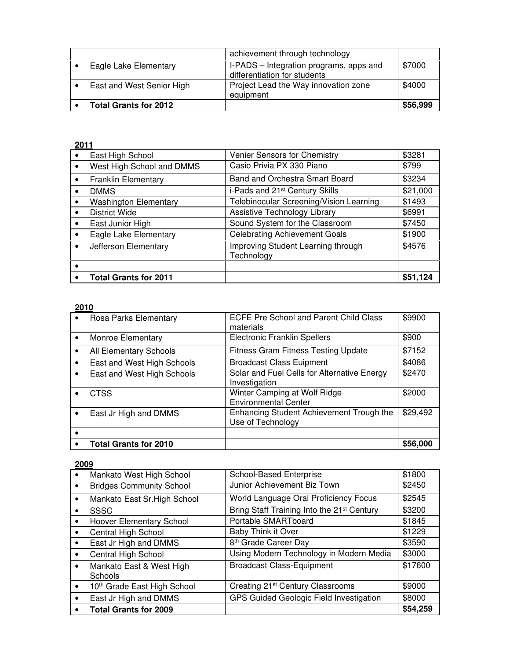|                              | achievement through technology                                          |          |
|------------------------------|-------------------------------------------------------------------------|----------|
| Eagle Lake Elementary        | I-PADS – Integration programs, apps and<br>differentiation for students | \$7000   |
| East and West Senior High    | Project Lead the Way innovation zone<br>equipment                       | \$4000   |
| <b>Total Grants for 2012</b> |                                                                         | \$56,999 |

| East High School             | Venier Sensors for Chemistry                     | \$3281   |
|------------------------------|--------------------------------------------------|----------|
| West High School and DMMS    | Casio Privia PX 330 Piano                        | \$799    |
| <b>Franklin Elementary</b>   | Band and Orchestra Smart Board                   | \$3234   |
| <b>DMMS</b>                  | i-Pads and 21 <sup>st</sup> Century Skills       | \$21,000 |
| <b>Washington Elementary</b> | Telebinocular Screening/Vision Learning          | \$1493   |
| District Wide                | Assistive Technology Library                     | \$6991   |
| East Junior High             | Sound System for the Classroom                   | \$7450   |
| Eagle Lake Elementary        | <b>Celebrating Achievement Goals</b>             | \$1900   |
| Jefferson Elementary         | Improving Student Learning through<br>Technology | \$4576   |
|                              |                                                  |          |
| <b>Total Grants for 2011</b> |                                                  | \$51,124 |
|                              |                                                  |          |

#### **2010**

| $\bullet$ | Rosa Parks Elementary         | ECFE Pre School and Parent Child Class<br>materials           | \$9900   |
|-----------|-------------------------------|---------------------------------------------------------------|----------|
| $\bullet$ | Monroe Elementary             | <b>Electronic Franklin Spellers</b>                           | \$900    |
| $\bullet$ | <b>All Elementary Schools</b> | <b>Fitness Gram Fitness Testing Update</b>                    | \$7152   |
|           | East and West High Schools    | <b>Broadcast Class Euipment</b>                               | \$4086   |
| $\bullet$ | East and West High Schools    | Solar and Fuel Cells for Alternative Energy<br>Investigation  | \$2470   |
|           | <b>CTSS</b>                   | Winter Camping at Wolf Ridge<br><b>Environmental Center</b>   | \$2000   |
|           | East Jr High and DMMS         | Enhancing Student Achievement Trough the<br>Use of Technology | \$29,492 |
|           |                               |                                                               |          |
|           | <b>Total Grants for 2010</b>  |                                                               | \$56,000 |

| $\bullet$ | Mankato West High School                | School-Based Enterprise                                | \$1800   |
|-----------|-----------------------------------------|--------------------------------------------------------|----------|
| ٠         | <b>Bridges Community School</b>         | Junior Achievement Biz Town                            | \$2450   |
| $\bullet$ | Mankato East Sr. High School            | World Language Oral Proficiency Focus                  | \$2545   |
| $\bullet$ | <b>SSSC</b>                             | Bring Staff Training Into the 21 <sup>st</sup> Century | \$3200   |
| $\bullet$ | Hoover Elementary School                | Portable SMARTboard                                    | \$1845   |
| $\bullet$ | Central High School                     | Baby Think it Over                                     | \$1229   |
| $\bullet$ | East Jr High and DMMS                   | 8 <sup>th</sup> Grade Career Day                       | \$3590   |
| $\bullet$ | Central High School                     | Using Modern Technology in Modern Media                | \$3000   |
| $\bullet$ | Mankato East & West High<br>Schools     | <b>Broadcast Class-Equipment</b>                       | \$17600  |
| $\bullet$ | 10 <sup>th</sup> Grade East High School | Creating 21 <sup>st</sup> Century Classrooms           | \$9000   |
| $\bullet$ | East Jr High and DMMS                   | GPS Guided Geologic Field Investigation                | \$8000   |
| $\bullet$ | <b>Total Grants for 2009</b>            |                                                        | \$54,259 |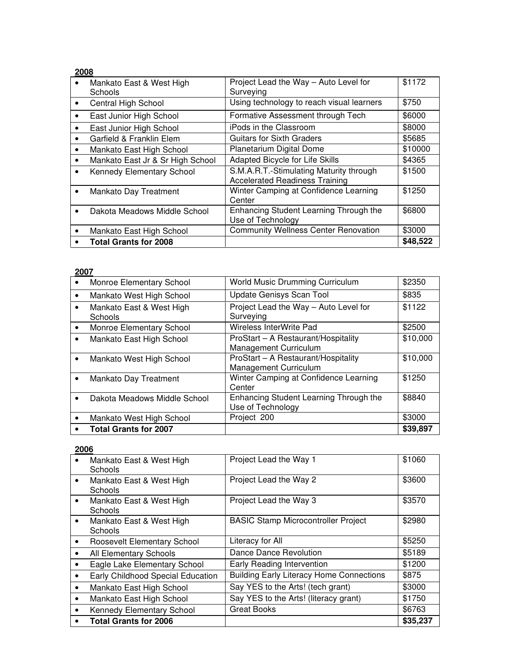| 2008      |                                     |                                                                                  |          |
|-----------|-------------------------------------|----------------------------------------------------------------------------------|----------|
| $\bullet$ | Mankato East & West High<br>Schools | Project Lead the Way - Auto Level for<br>Surveying                               | \$1172   |
| $\bullet$ | Central High School                 | Using technology to reach visual learners                                        | \$750    |
| ٠         | East Junior High School             | Formative Assessment through Tech                                                | \$6000   |
| ٠         | East Junior High School             | iPods in the Classroom                                                           | \$8000   |
| $\bullet$ | Garfield & Franklin Elem            | <b>Guitars for Sixth Graders</b>                                                 | \$5685   |
| $\bullet$ | Mankato East High School            | Planetarium Digital Dome                                                         | \$10000  |
| ٠         | Mankato East Jr & Sr High School    | Adapted Bicycle for Life Skills                                                  | \$4365   |
| $\bullet$ | Kennedy Elementary School           | S.M.A.R.T.-Stimulating Maturity through<br><b>Accelerated Readiness Training</b> | \$1500   |
| $\bullet$ | <b>Mankato Day Treatment</b>        | Winter Camping at Confidence Learning<br>Center                                  | \$1250   |
|           | Dakota Meadows Middle School        | Enhancing Student Learning Through the<br>Use of Technology                      | \$6800   |
| $\bullet$ | Mankato East High School            | <b>Community Wellness Center Renovation</b>                                      | \$3000   |
|           | <b>Total Grants for 2008</b>        |                                                                                  | \$48,522 |

| Monroe Elementary School                   | World Music Drumming Curriculum                              | \$2350   |
|--------------------------------------------|--------------------------------------------------------------|----------|
| Mankato West High School                   | Update Genisys Scan Tool                                     | \$835    |
| Mankato East & West High<br><b>Schools</b> | Project Lead the Way - Auto Level for<br>Surveying           | \$1122   |
| Monroe Elementary School                   | Wireless InterWrite Pad                                      | \$2500   |
| Mankato East High School                   | ProStart - A Restaurant/Hospitality<br>Management Curriculum | \$10,000 |
| Mankato West High School                   | ProStart - A Restaurant/Hospitality<br>Management Curriculum | \$10,000 |
| <b>Mankato Day Treatment</b>               | Winter Camping at Confidence Learning<br>Center              | \$1250   |
| Dakota Meadows Middle School               | Enhancing Student Learning Through the<br>Use of Technology  | \$8840   |
| Mankato West High School                   | Project 200                                                  | \$3000   |
| <b>Total Grants for 2007</b>               |                                                              | \$39,897 |
|                                            |                                                              |          |

| $\bullet$ | Mankato East & West High<br><b>Schools</b> | Project Lead the Way 1                          | \$1060   |
|-----------|--------------------------------------------|-------------------------------------------------|----------|
| $\bullet$ | Mankato East & West High<br>Schools        | Project Lead the Way 2                          | \$3600   |
| $\bullet$ | Mankato East & West High<br>Schools        | Project Lead the Way 3                          | \$3570   |
| $\bullet$ | Mankato East & West High<br><b>Schools</b> | <b>BASIC Stamp Microcontroller Project</b>      | \$2980   |
| ٠         | Roosevelt Elementary School                | Literacy for All                                | \$5250   |
| ٠         | All Elementary Schools                     | Dance Dance Revolution                          | \$5189   |
| ٠         | Eagle Lake Elementary School               | Early Reading Intervention                      | \$1200   |
|           | Early Childhood Special Education          | <b>Building Early Literacy Home Connections</b> | \$875    |
| $\bullet$ | Mankato East High School                   | Say YES to the Arts! (tech grant)               | \$3000   |
| ٠         | Mankato East High School                   | Say YES to the Arts! (literacy grant)           | \$1750   |
| ٠         | Kennedy Elementary School                  | <b>Great Books</b>                              | \$6763   |
|           | <b>Total Grants for 2006</b>               |                                                 | \$35,237 |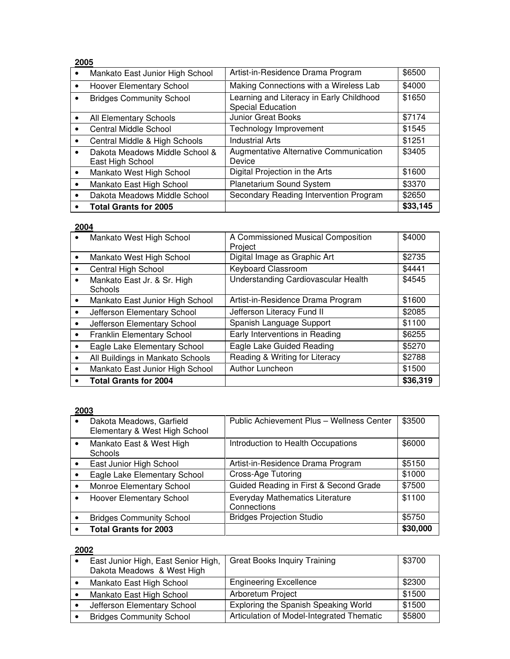| 2005      |                                                    |                                                                      |          |
|-----------|----------------------------------------------------|----------------------------------------------------------------------|----------|
| $\bullet$ | Mankato East Junior High School                    | Artist-in-Residence Drama Program                                    | \$6500   |
| $\bullet$ | <b>Hoover Elementary School</b>                    | Making Connections with a Wireless Lab                               | \$4000   |
| $\bullet$ | <b>Bridges Community School</b>                    | Learning and Literacy in Early Childhood<br><b>Special Education</b> | \$1650   |
| $\bullet$ | All Elementary Schools                             | <b>Junior Great Books</b>                                            | \$7174   |
| $\bullet$ | Central Middle School                              | Technology Improvement                                               | \$1545   |
| $\bullet$ | Central Middle & High Schools                      | <b>Industrial Arts</b>                                               | \$1251   |
| $\bullet$ | Dakota Meadows Middle School &<br>East High School | Augmentative Alternative Communication<br>Device                     | \$3405   |
| $\bullet$ | Mankato West High School                           | Digital Projection in the Arts                                       | \$1600   |
| $\bullet$ | Mankato East High School                           | Planetarium Sound System                                             | \$3370   |
| $\bullet$ | Dakota Meadows Middle School                       | Secondary Reading Intervention Program                               | \$2650   |
|           | <b>Total Grants for 2005</b>                       |                                                                      | \$33,145 |

|           | Mankato West High School               | A Commissioned Musical Composition<br>Project | \$4000   |
|-----------|----------------------------------------|-----------------------------------------------|----------|
| $\bullet$ | Mankato West High School               | Digital Image as Graphic Art                  | \$2735   |
|           | <b>Central High School</b>             | Keyboard Classroom                            | \$4441   |
| $\bullet$ | Mankato East Jr. & Sr. High<br>Schools | Understanding Cardiovascular Health           | \$4545   |
| $\bullet$ | Mankato East Junior High School        | Artist-in-Residence Drama Program             | \$1600   |
| $\bullet$ | Jefferson Elementary School            | Jefferson Literacy Fund II                    | \$2085   |
| $\bullet$ | Jefferson Elementary School            | Spanish Language Support                      | \$1100   |
| $\bullet$ | Franklin Elementary School             | Early Interventions in Reading                | \$6255   |
| $\bullet$ | Eagle Lake Elementary School           | Eagle Lake Guided Reading                     | \$5270   |
| $\bullet$ | All Buildings in Mankato Schools       | Reading & Writing for Literacy                | \$2788   |
| $\bullet$ | Mankato East Junior High School        | Author Luncheon                               | \$1500   |
| ٠         | <b>Total Grants for 2004</b>           |                                               | \$36,319 |

# **2003**

| Dakota Meadows, Garfield<br>Elementary & West High School | Public Achievement Plus - Wellness Center      | \$3500   |
|-----------------------------------------------------------|------------------------------------------------|----------|
| Mankato East & West High<br><b>Schools</b>                | Introduction to Health Occupations             | \$6000   |
| East Junior High School                                   | Artist-in-Residence Drama Program              | \$5150   |
| Eagle Lake Elementary School                              | Cross-Age Tutoring                             | \$1000   |
| Monroe Elementary School                                  | Guided Reading in First & Second Grade         | \$7500   |
| Hoover Elementary School                                  | Everyday Mathematics Literature<br>Connections | \$1100   |
| <b>Bridges Community School</b>                           | <b>Bridges Projection Studio</b>               | \$5750   |
| <b>Total Grants for 2003</b>                              |                                                | \$30,000 |

| East Junior High, East Senior High,<br>Dakota Meadows & West High | <b>Great Books Inquiry Training</b>       | \$3700 |
|-------------------------------------------------------------------|-------------------------------------------|--------|
| Mankato East High School                                          | <b>Engineering Excellence</b>             | \$2300 |
| Mankato East High School                                          | Arboretum Project                         | \$1500 |
| Jefferson Elementary School                                       | Exploring the Spanish Speaking World      | \$1500 |
| <b>Bridges Community School</b>                                   | Articulation of Model-Integrated Thematic | \$5800 |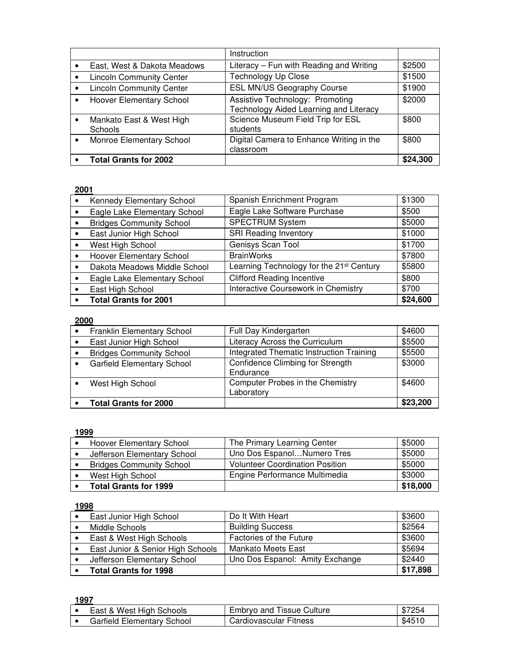|           |                                     | Instruction                                                                      |          |
|-----------|-------------------------------------|----------------------------------------------------------------------------------|----------|
|           | East, West & Dakota Meadows         | Literacy – Fun with Reading and Writing                                          | \$2500   |
|           | <b>Lincoln Community Center</b>     | <b>Technology Up Close</b>                                                       | \$1500   |
| $\bullet$ | <b>Lincoln Community Center</b>     | ESL MN/US Geography Course                                                       | \$1900   |
|           | <b>Hoover Elementary School</b>     | <b>Assistive Technology: Promoting</b><br>Technology Aided Learning and Literacy | \$2000   |
| $\bullet$ | Mankato East & West High<br>Schools | Science Museum Field Trip for ESL<br>students                                    | \$800    |
|           | Monroe Elementary School            | Digital Camera to Enhance Writing in the<br>classroom                            | \$800    |
|           | <b>Total Grants for 2002</b>        |                                                                                  | \$24,300 |

| Kennedy Elementary School       | Spanish Enrichment Program                           | \$1300   |
|---------------------------------|------------------------------------------------------|----------|
| Eagle Lake Elementary School    | Eagle Lake Software Purchase                         | \$500    |
| <b>Bridges Community School</b> | <b>SPECTRUM System</b>                               | \$5000   |
| East Junior High School         | <b>SRI Reading Inventory</b>                         | \$1000   |
| West High School                | Genisys Scan Tool                                    | \$1700   |
| Hoover Elementary School        | <b>BrainWorks</b>                                    | \$7800   |
| Dakota Meadows Middle School    | Learning Technology for the 21 <sup>st</sup> Century | \$5800   |
| Eagle Lake Elementary School    | <b>Clifford Reading Incentive</b>                    | \$800    |
| East High School                | Interactive Coursework in Chemistry                  | \$700    |
| <b>Total Grants for 2001</b>    |                                                      | \$24,600 |

#### **2000**

| Franklin Elementary School        | Full Day Kindergarten                          | \$4600   |
|-----------------------------------|------------------------------------------------|----------|
| East Junior High School           | Literacy Across the Curriculum                 | \$5500   |
| <b>Bridges Community School</b>   | Integrated Thematic Instruction Training       | \$5500   |
| <b>Garfield Elementary School</b> | Confidence Climbing for Strength<br>Endurance  | \$3000   |
| West High School                  | Computer Probes in the Chemistry<br>Laboratory | \$4600   |
| <b>Total Grants for 2000</b>      |                                                | \$23,200 |

#### **1999**

| <b>Hoover Elementary School</b> | The Primary Learning Center            | \$5000   |
|---------------------------------|----------------------------------------|----------|
| Jefferson Elementary School     | Uno Dos EspanolNumero Tres             | \$5000   |
| <b>Bridges Community School</b> | <b>Volunteer Coordination Position</b> | \$5000   |
| West High School                | Engine Performance Multimedia          | \$3000   |
| <b>Total Grants for 1999</b>    |                                        | \$18,000 |

#### **1998**

| East Junior High School           | Do It With Heart                | \$3600   |
|-----------------------------------|---------------------------------|----------|
| Middle Schools                    | <b>Building Success</b>         | \$2564   |
| East & West High Schools          | Factories of the Future         | \$3600   |
| East Junior & Senior High Schools | <b>Mankato Meets East</b>       | \$5694   |
| Jefferson Elementary School       | Uno Dos Espanol: Amity Exchange | \$2440   |
| <b>Total Grants for 1998</b>      |                                 | \$17,898 |

| East & West High Schools   | <b>Embryo and Tissue Culture</b> | \$7254 |
|----------------------------|----------------------------------|--------|
| Garfield Elementary School | <b>Cardiovascular Fitness</b>    | \$4510 |